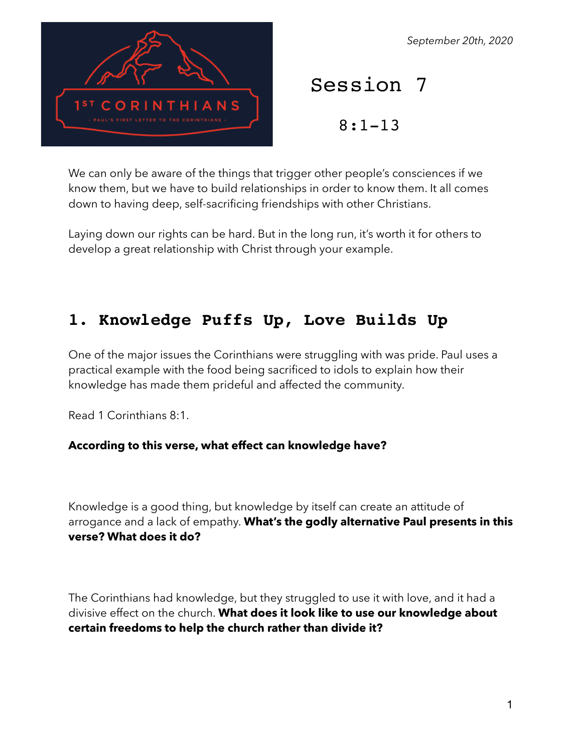

#### *September 20th, 2020*

Session 7

8:1-13

We can only be aware of the things that trigger other people's consciences if we know them, but we have to build relationships in order to know them. It all comes down to having deep, self-sacrificing friendships with other Christians.

Laying down our rights can be hard. But in the long run, it's worth it for others to develop a great relationship with Christ through your example.

# **1. Knowledge Puffs Up, Love Builds Up**

One of the major issues the Corinthians were struggling with was pride. Paul uses a practical example with the food being sacrificed to idols to explain how their knowledge has made them prideful and affected the community.

Read 1 Corinthians 8:1.

#### **According to this verse, what effect can knowledge have?**

Knowledge is a good thing, but knowledge by itself can create an attitude of arrogance and a lack of empathy. **What's the godly alternative Paul presents in this verse? What does it do?** 

The Corinthians had knowledge, but they struggled to use it with love, and it had a divisive effect on the church. **What does it look like to use our knowledge about certain freedoms to help the church rather than divide it?**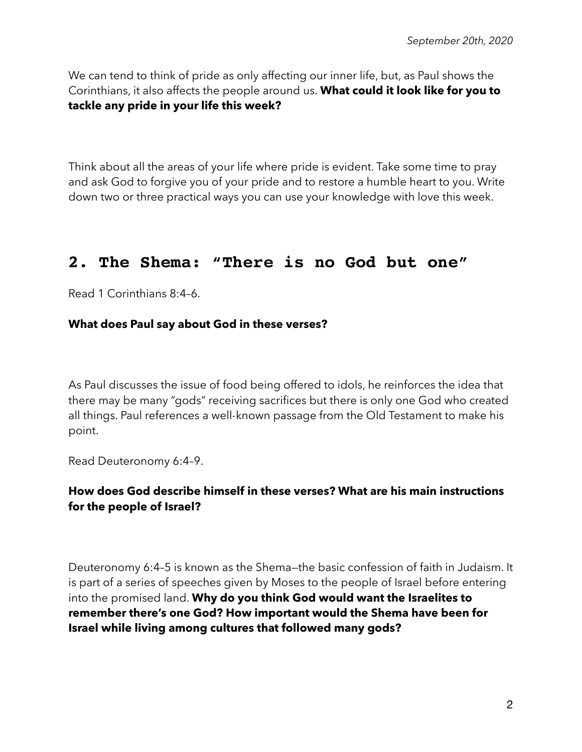We can tend to think of pride as only affecting our inner life, but, as Paul shows the Corinthians, it also affects the people around us. **What could it look like for you to tackle any pride in your life this week?** 

Think about all the areas of your life where pride is evident. Take some time to pray and ask God to forgive you of your pride and to restore a humble heart to you. Write down two or three practical ways you can use your knowledge with love this week.

# **2. The Shema: "There is no God but one"**

Read 1 Corinthians 8:4–6.

#### **What does Paul say about God in these verses?**

As Paul discusses the issue of food being offered to idols, he reinforces the idea that there may be many "gods" receiving sacrifices but there is only one God who created all things. Paul references a well-known passage from the Old Testament to make his point.

Read Deuteronomy 6:4–9.

### **How does God describe himself in these verses? What are his main instructions for the people of Israel?**

Deuteronomy 6:4–5 is known as the Shema—the basic confession of faith in Judaism. It is part of a series of speeches given by Moses to the people of Israel before entering into the promised land. **Why do you think God would want the Israelites to remember there's one God? How important would the Shema have been for Israel while living among cultures that followed many gods?**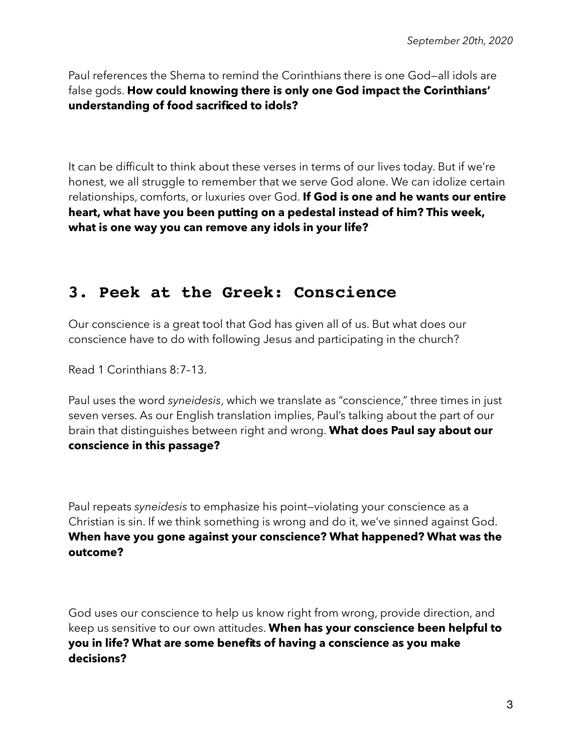Paul references the Shema to remind the Corinthians there is one God—all idols are false gods. **How could knowing there is only one God impact the Corinthians' understanding of food sacrificed to idols?** 

It can be difficult to think about these verses in terms of our lives today. But if we're honest, we all struggle to remember that we serve God alone. We can idolize certain relationships, comforts, or luxuries over God. **If God is one and he wants our entire heart, what have you been putting on a pedestal instead of him? This week, what is one way you can remove any idols in your life?** 

# **3. Peek at the Greek: Conscience**

Our conscience is a great tool that God has given all of us. But what does our conscience have to do with following Jesus and participating in the church?

Read 1 Corinthians 8:7–13.

Paul uses the word *syneidesis*, which we translate as "conscience," three times in just seven verses. As our English translation implies, Paul's talking about the part of our brain that distinguishes between right and wrong. **What does Paul say about our conscience in this passage?** 

Paul repeats *syneidesis* to emphasize his point—violating your conscience as a Christian is sin. If we think something is wrong and do it, we've sinned against God. **When have you gone against your conscience? What happened? What was the outcome?** 

God uses our conscience to help us know right from wrong, provide direction, and keep us sensitive to our own attitudes. **When has your conscience been helpful to you in life? What are some benefits of having a conscience as you make decisions?**